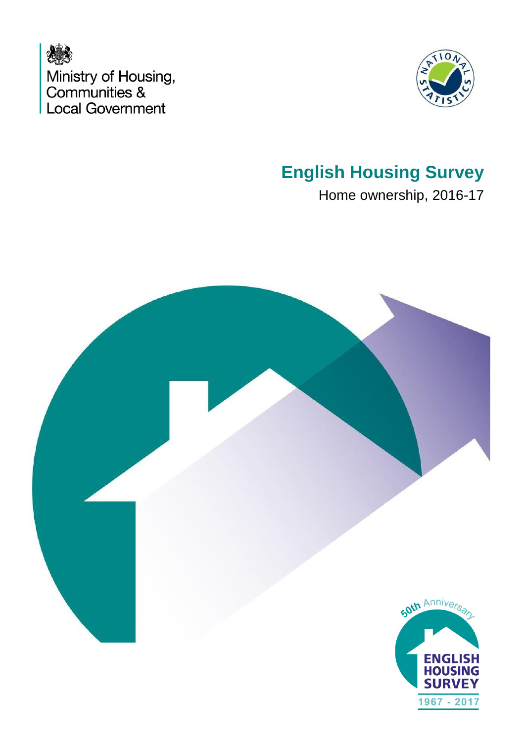



## **English Housing Survey**

Home ownership, 2016-17

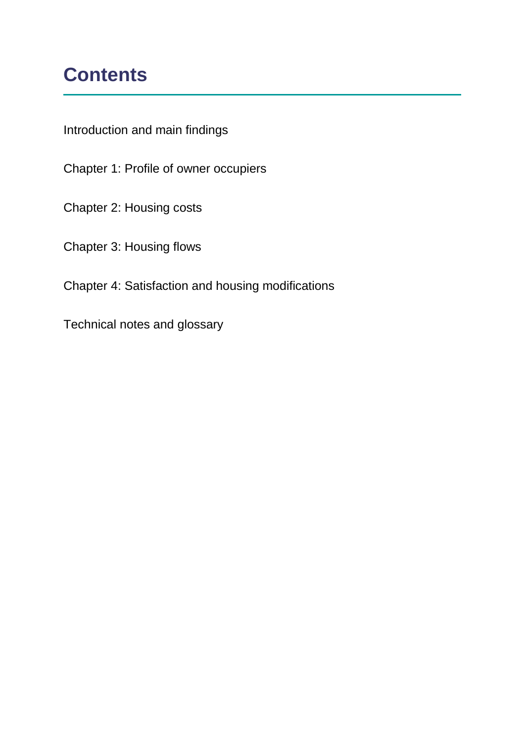## **Contents**

Introduction and main findings

Chapter 1: Profile of owner occupiers

Chapter 2: Housing costs

Chapter 3: Housing flows

Chapter 4: Satisfaction and housing modifications

Technical notes and glossary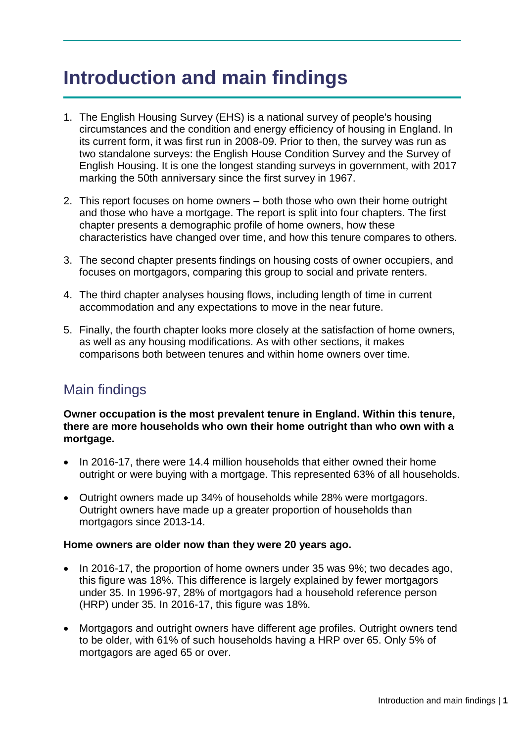## **Introduction and main findings**

- 1. The English Housing Survey (EHS) is a national survey of people's housing circumstances and the condition and energy efficiency of housing in England. In its current form, it was first run in 2008-09. Prior to then, the survey was run as two standalone surveys: the English House Condition Survey and the Survey of English Housing. It is one the longest standing surveys in government, with 2017 marking the 50th anniversary since the first survey in 1967.
- 2. This report focuses on home owners both those who own their home outright and those who have a mortgage. The report is split into four chapters. The first chapter presents a demographic profile of home owners, how these characteristics have changed over time, and how this tenure compares to others.
- 3. The second chapter presents findings on housing costs of owner occupiers, and focuses on mortgagors, comparing this group to social and private renters.
- 4. The third chapter analyses housing flows, including length of time in current accommodation and any expectations to move in the near future.
- 5. Finally, the fourth chapter looks more closely at the satisfaction of home owners, as well as any housing modifications. As with other sections, it makes comparisons both between tenures and within home owners over time.

## Main findings

**Owner occupation is the most prevalent tenure in England. Within this tenure, there are more households who own their home outright than who own with a mortgage.**

- In 2016-17, there were 14.4 million households that either owned their home outright or were buying with a mortgage. This represented 63% of all households.
- Outright owners made up 34% of households while 28% were mortgagors. Outright owners have made up a greater proportion of households than mortgagors since 2013-14.

#### **Home owners are older now than they were 20 years ago.**

- In 2016-17, the proportion of home owners under 35 was 9%; two decades ago, this figure was 18%. This difference is largely explained by fewer mortgagors under 35. In 1996-97, 28% of mortgagors had a household reference person (HRP) under 35. In 2016-17, this figure was 18%.
- Mortgagors and outright owners have different age profiles. Outright owners tend to be older, with 61% of such households having a HRP over 65. Only 5% of mortgagors are aged 65 or over.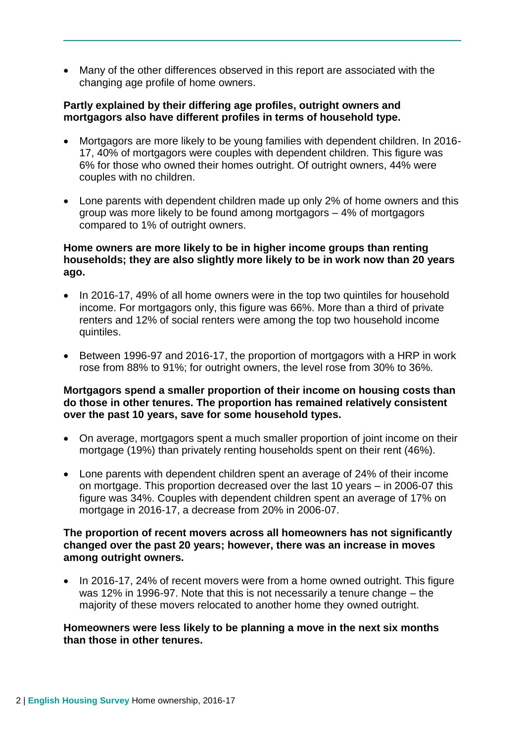Many of the other differences observed in this report are associated with the changing age profile of home owners.

#### **Partly explained by their differing age profiles, outright owners and mortgagors also have different profiles in terms of household type.**

- Mortgagors are more likely to be young families with dependent children. In 2016- 17, 40% of mortgagors were couples with dependent children. This figure was 6% for those who owned their homes outright. Of outright owners, 44% were couples with no children.
- Lone parents with dependent children made up only 2% of home owners and this group was more likely to be found among mortgagors – 4% of mortgagors compared to 1% of outright owners.

#### **Home owners are more likely to be in higher income groups than renting households; they are also slightly more likely to be in work now than 20 years ago.**

- In 2016-17, 49% of all home owners were in the top two quintiles for household income. For mortgagors only, this figure was 66%. More than a third of private renters and 12% of social renters were among the top two household income quintiles.
- Between 1996-97 and 2016-17, the proportion of mortgagors with a HRP in work rose from 88% to 91%; for outright owners, the level rose from 30% to 36%.

#### **Mortgagors spend a smaller proportion of their income on housing costs than do those in other tenures. The proportion has remained relatively consistent over the past 10 years, save for some household types.**

- On average, mortgagors spent a much smaller proportion of joint income on their mortgage (19%) than privately renting households spent on their rent (46%).
- Lone parents with dependent children spent an average of 24% of their income on mortgage. This proportion decreased over the last 10 years – in 2006-07 this figure was 34%. Couples with dependent children spent an average of 17% on mortgage in 2016-17, a decrease from 20% in 2006-07.

#### **The proportion of recent movers across all homeowners has not significantly changed over the past 20 years; however, there was an increase in moves among outright owners.**

• In 2016-17, 24% of recent movers were from a home owned outright. This figure was 12% in 1996-97. Note that this is not necessarily a tenure change – the majority of these movers relocated to another home they owned outright.

#### **Homeowners were less likely to be planning a move in the next six months than those in other tenures.**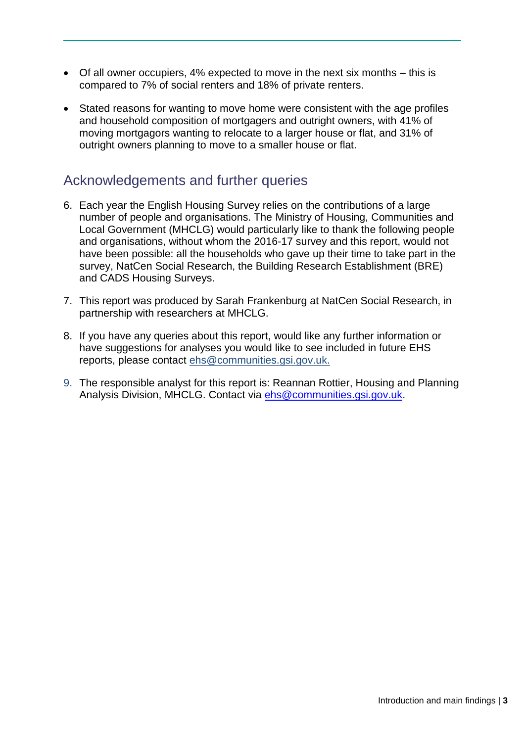- Of all owner occupiers, 4% expected to move in the next six months this is compared to 7% of social renters and 18% of private renters.
- Stated reasons for wanting to move home were consistent with the age profiles and household composition of mortgagers and outright owners, with 41% of moving mortgagors wanting to relocate to a larger house or flat, and 31% of outright owners planning to move to a smaller house or flat.

### Acknowledgements and further queries

- 6. Each year the English Housing Survey relies on the contributions of a large number of people and organisations. The Ministry of Housing, Communities and Local Government (MHCLG) would particularly like to thank the following people and organisations, without whom the 2016-17 survey and this report, would not have been possible: all the households who gave up their time to take part in the survey, NatCen Social Research, the Building Research Establishment (BRE) and CADS Housing Surveys.
- 7. This report was produced by Sarah Frankenburg at NatCen Social Research, in partnership with researchers at MHCLG.
- 8. If you have any queries about this report, would like any further information or have suggestions for analyses you would like to see included in future EHS reports, please contact [ehs@communities.gsi.gov.uk.](mailto:ehs@communities.gsi.gov.uk)
- 9. The responsible analyst for this report is: Reannan Rottier, Housing and Planning Analysis Division, MHCLG. Contact via [ehs@communities.gsi.gov.uk.](mailto:ehs@communities.gsi.gov.uk)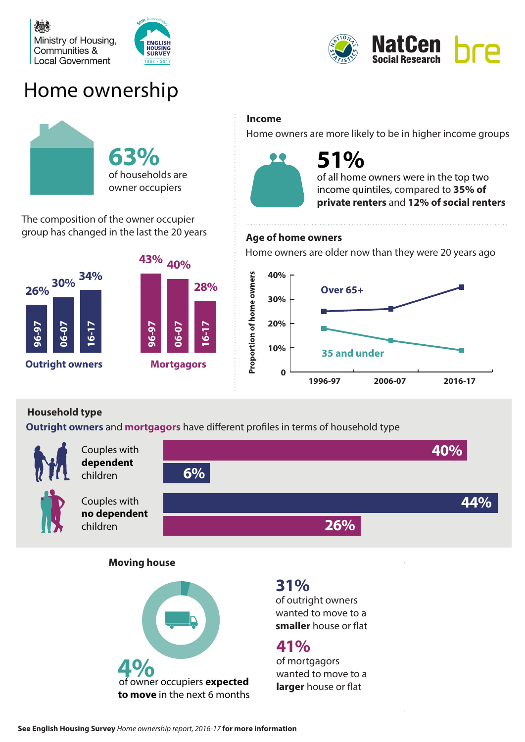





## Home ownership



The composition of the owner occupier group has changed in the last the 20 years



#### **Income**

Home owners are more likely to be in higher income groups



# **51%**

of all home owners were in the top two income quintiles, compared to **35% of private renters** and **12% of social renters**

#### **Age of home owners**

Home owners are older now than they were 20 years ago



#### **Household type**

**Outright owners** and **mortgagors** have different profiles in terms of household type



Couples with **dependent**

children



Couples with **no dependent** children



**Moving house**



## **31%**

of outright owners wanted to move to a **smaller** house or flat

## **41%**

of mortgagors wanted to move to a **larger** house or flat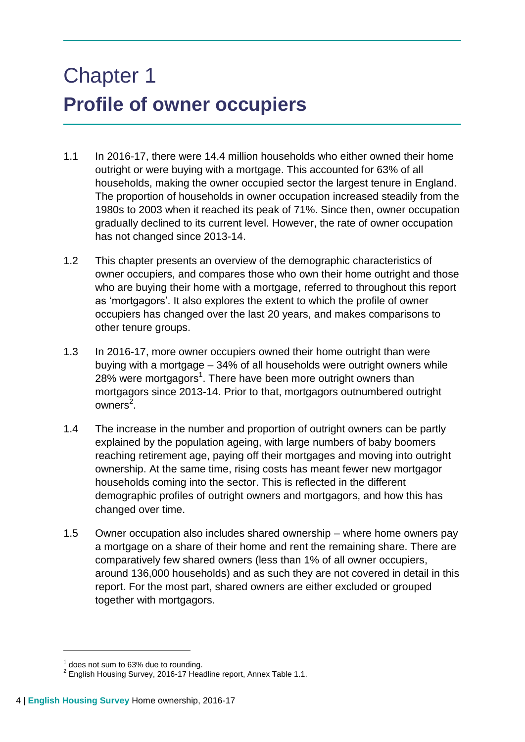# Chapter 1 **Profile of owner occupiers**

- 1.1 In 2016-17, there were 14.4 million households who either owned their home outright or were buying with a mortgage. This accounted for 63% of all households, making the owner occupied sector the largest tenure in England. The proportion of households in owner occupation increased steadily from the 1980s to 2003 when it reached its peak of 71%. Since then, owner occupation gradually declined to its current level. However, the rate of owner occupation has not changed since 2013-14.
- 1.2 This chapter presents an overview of the demographic characteristics of owner occupiers, and compares those who own their home outright and those who are buying their home with a mortgage, referred to throughout this report as 'mortgagors'. It also explores the extent to which the profile of owner occupiers has changed over the last 20 years, and makes comparisons to other tenure groups.
- 1.3 In 2016-17, more owner occupiers owned their home outright than were buying with a mortgage – 34% of all households were outright owners while 28% were mortgagors<sup>1</sup>. There have been more outright owners than mortgagors since 2013-14. Prior to that, mortgagors outnumbered outright owners<sup>2</sup>.
- 1.4 The increase in the number and proportion of outright owners can be partly explained by the population ageing, with large numbers of baby boomers reaching retirement age, paying off their mortgages and moving into outright ownership. At the same time, rising costs has meant fewer new mortgagor households coming into the sector. This is reflected in the different demographic profiles of outright owners and mortgagors, and how this has changed over time.
- 1.5 Owner occupation also includes shared ownership where home owners pay a mortgage on a share of their home and rent the remaining share. There are comparatively few shared owners (less than 1% of all owner occupiers, around 136,000 households) and as such they are not covered in detail in this report. For the most part, shared owners are either excluded or grouped together with mortgagors.

 $<sup>1</sup>$  does not sum to 63% due to rounding.</sup>

 $2$  English Housing Survey, 2016-17 Headline report, Annex Table 1.1.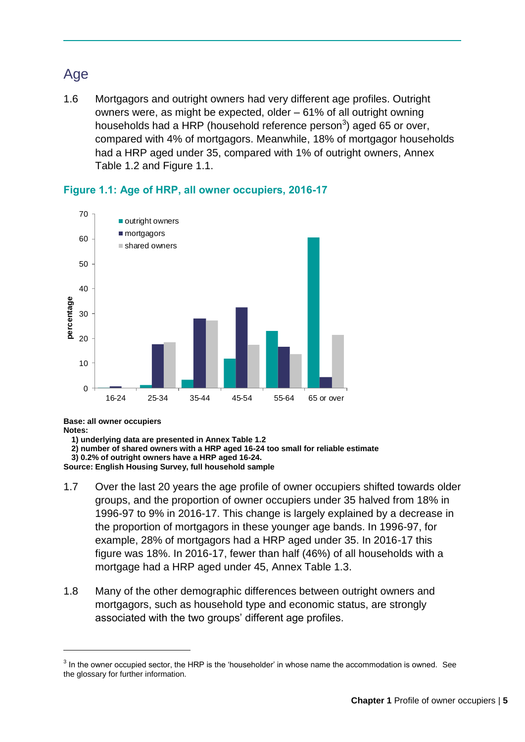## Age

1.6 Mortgagors and outright owners had very different age profiles. Outright owners were, as might be expected, older – 61% of all outright owning households had a HRP (household reference person<sup>3</sup>) aged 65 or over, compared with 4% of mortgagors. Meanwhile, 18% of mortgagor households had a HRP aged under 35, compared with 1% of outright owners, Annex Table 1.2 and Figure 1.1.



#### **Figure 1.1: Age of HRP, all owner occupiers, 2016-17**

**Base: all owner occupiers Notes:**

1

**1) underlying data are presented in Annex Table 1.2**

**2) number of shared owners with a HRP aged 16-24 too small for reliable estimate**

**3) 0.2% of outright owners have a HRP aged 16-24.**

**Source: English Housing Survey, full household sample**

- 1.7 Over the last 20 years the age profile of owner occupiers shifted towards older groups, and the proportion of owner occupiers under 35 halved from 18% in 1996-97 to 9% in 2016-17. This change is largely explained by a decrease in the proportion of mortgagors in these younger age bands. In 1996-97, for example, 28% of mortgagors had a HRP aged under 35. In 2016-17 this figure was 18%. In 2016-17, fewer than half (46%) of all households with a mortgage had a HRP aged under 45, Annex Table 1.3.
- 1.8 Many of the other demographic differences between outright owners and mortgagors, such as household type and economic status, are strongly associated with the two groups' different age profiles.

 $3$  In the owner occupied sector, the HRP is the 'householder' in whose name the accommodation is owned. See the glossary for further information.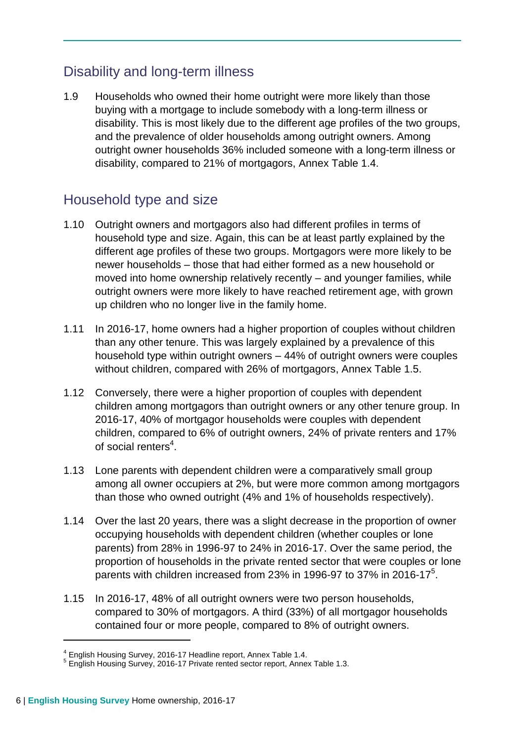## Disability and long-term illness

1.9 Households who owned their home outright were more likely than those buying with a mortgage to include somebody with a long-term illness or disability. This is most likely due to the different age profiles of the two groups, and the prevalence of older households among outright owners. Among outright owner households 36% included someone with a long-term illness or disability, compared to 21% of mortgagors, Annex Table 1.4.

### Household type and size

- 1.10 Outright owners and mortgagors also had different profiles in terms of household type and size. Again, this can be at least partly explained by the different age profiles of these two groups. Mortgagors were more likely to be newer households – those that had either formed as a new household or moved into home ownership relatively recently – and younger families, while outright owners were more likely to have reached retirement age, with grown up children who no longer live in the family home.
- 1.11 In 2016-17, home owners had a higher proportion of couples without children than any other tenure. This was largely explained by a prevalence of this household type within outright owners – 44% of outright owners were couples without children, compared with 26% of mortgagors, Annex Table 1.5.
- 1.12 Conversely, there were a higher proportion of couples with dependent children among mortgagors than outright owners or any other tenure group. In 2016-17, 40% of mortgagor households were couples with dependent children, compared to 6% of outright owners, 24% of private renters and 17% of social renters<sup>4</sup>.
- 1.13 Lone parents with dependent children were a comparatively small group among all owner occupiers at 2%, but were more common among mortgagors than those who owned outright (4% and 1% of households respectively).
- 1.14 Over the last 20 years, there was a slight decrease in the proportion of owner occupying households with dependent children (whether couples or lone parents) from 28% in 1996-97 to 24% in 2016-17. Over the same period, the proportion of households in the private rented sector that were couples or lone parents with children increased from 23% in 1996-97 to 37% in 2016-17 $5$ .
- 1.15 In 2016-17, 48% of all outright owners were two person households, compared to 30% of mortgagors. A third (33%) of all mortgagor households contained four or more people, compared to 8% of outright owners.

<sup>&</sup>lt;sup>4</sup> English Housing Survey, 2016-17 Headline report, Annex Table 1.4.<br><sup>5</sup> English Housing Survey, 2016-17 Private rented sector report, Annex Table 1.3.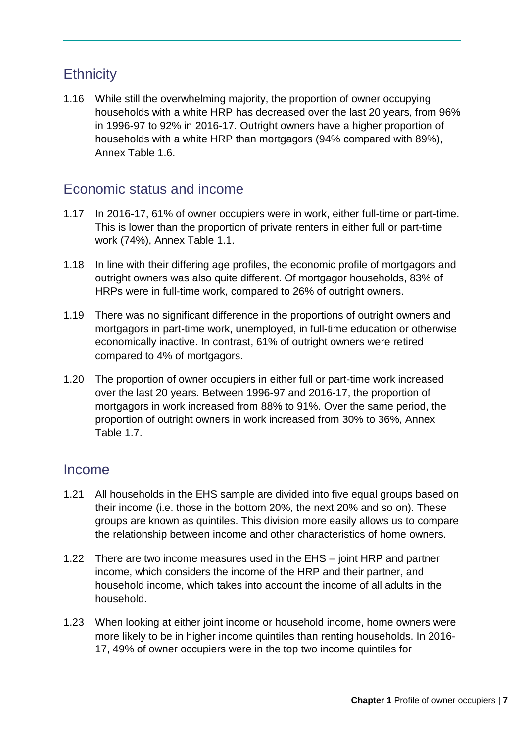## **Ethnicity**

1.16 While still the overwhelming majority, the proportion of owner occupying households with a white HRP has decreased over the last 20 years, from 96% in 1996-97 to 92% in 2016-17. Outright owners have a higher proportion of households with a white HRP than mortgagors (94% compared with 89%), Annex Table 1.6.

## Economic status and income

- 1.17 In 2016-17, 61% of owner occupiers were in work, either full-time or part-time. This is lower than the proportion of private renters in either full or part-time work (74%), Annex Table 1.1.
- 1.18 In line with their differing age profiles, the economic profile of mortgagors and outright owners was also quite different. Of mortgagor households, 83% of HRPs were in full-time work, compared to 26% of outright owners.
- 1.19 There was no significant difference in the proportions of outright owners and mortgagors in part-time work, unemployed, in full-time education or otherwise economically inactive. In contrast, 61% of outright owners were retired compared to 4% of mortgagors.
- 1.20 The proportion of owner occupiers in either full or part-time work increased over the last 20 years. Between 1996-97 and 2016-17, the proportion of mortgagors in work increased from 88% to 91%. Over the same period, the proportion of outright owners in work increased from 30% to 36%, Annex Table 1.7.

### Income

- 1.21 All households in the EHS sample are divided into five equal groups based on their income (i.e. those in the bottom 20%, the next 20% and so on). These groups are known as quintiles. This division more easily allows us to compare the relationship between income and other characteristics of home owners.
- 1.22 There are two income measures used in the EHS joint HRP and partner income, which considers the income of the HRP and their partner, and household income, which takes into account the income of all adults in the household.
- 1.23 When looking at either joint income or household income, home owners were more likely to be in higher income quintiles than renting households. In 2016- 17, 49% of owner occupiers were in the top two income quintiles for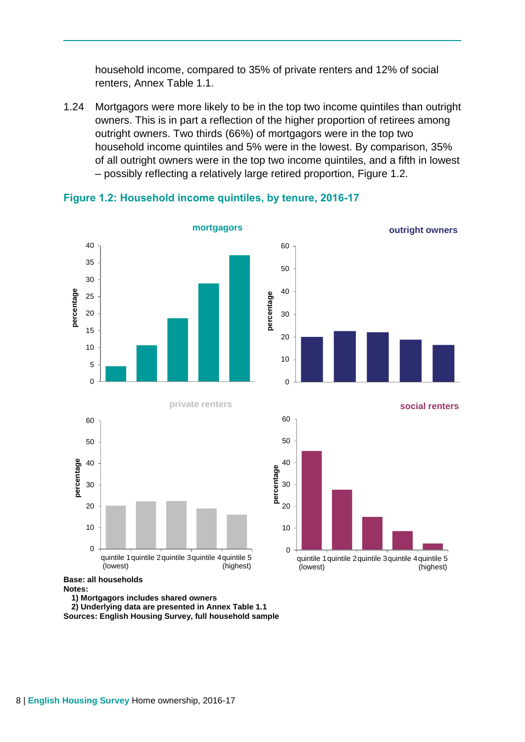household income, compared to 35% of private renters and 12% of social renters, Annex Table 1.1.

1.24 Mortgagors were more likely to be in the top two income quintiles than outright owners. This is in part a reflection of the higher proportion of retirees among outright owners. Two thirds (66%) of mortgagors were in the top two household income quintiles and 5% were in the lowest. By comparison, 35% of all outright owners were in the top two income quintiles, and a fifth in lowest – possibly reflecting a relatively large retired proportion, Figure 1.2.



#### **Figure 1.2: Household income quintiles, by tenure, 2016-17**

**outright owners**



**social renters**



#### **Base: all households**

**Notes:** 

**1) Mortgagors includes shared owners**

**2) Underlying data are presented in Annex Table 1.1 Sources: English Housing Survey, full household sample**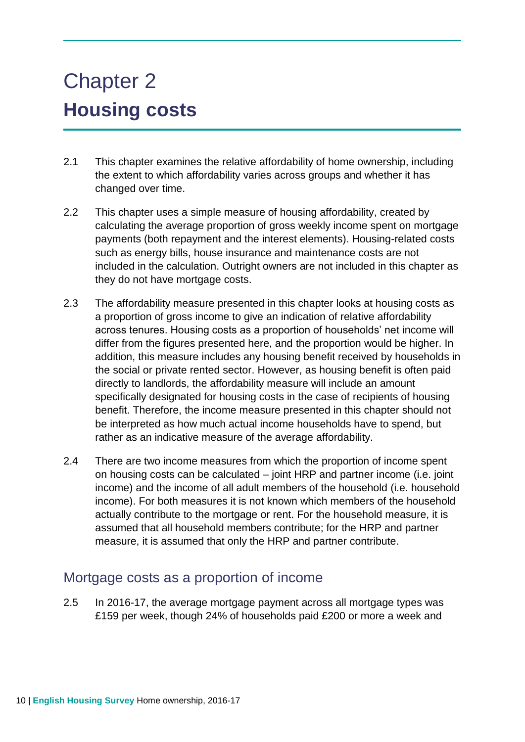# Chapter 2 **Housing costs**

- 2.1 This chapter examines the relative affordability of home ownership, including the extent to which affordability varies across groups and whether it has changed over time.
- 2.2 This chapter uses a simple measure of housing affordability, created by calculating the average proportion of gross weekly income spent on mortgage payments (both repayment and the interest elements). Housing-related costs such as energy bills, house insurance and maintenance costs are not included in the calculation. Outright owners are not included in this chapter as they do not have mortgage costs.
- 2.3 The affordability measure presented in this chapter looks at housing costs as a proportion of gross income to give an indication of relative affordability across tenures. Housing costs as a proportion of households' net income will differ from the figures presented here, and the proportion would be higher. In addition, this measure includes any housing benefit received by households in the social or private rented sector. However, as housing benefit is often paid directly to landlords, the affordability measure will include an amount specifically designated for housing costs in the case of recipients of housing benefit. Therefore, the income measure presented in this chapter should not be interpreted as how much actual income households have to spend, but rather as an indicative measure of the average affordability.
- 2.4 There are two income measures from which the proportion of income spent on housing costs can be calculated – joint HRP and partner income (i.e. joint income) and the income of all adult members of the household (i.e. household income). For both measures it is not known which members of the household actually contribute to the mortgage or rent. For the household measure, it is assumed that all household members contribute; for the HRP and partner measure, it is assumed that only the HRP and partner contribute.

#### Mortgage costs as a proportion of income

2.5 In 2016-17, the average mortgage payment across all mortgage types was £159 per week, though 24% of households paid £200 or more a week and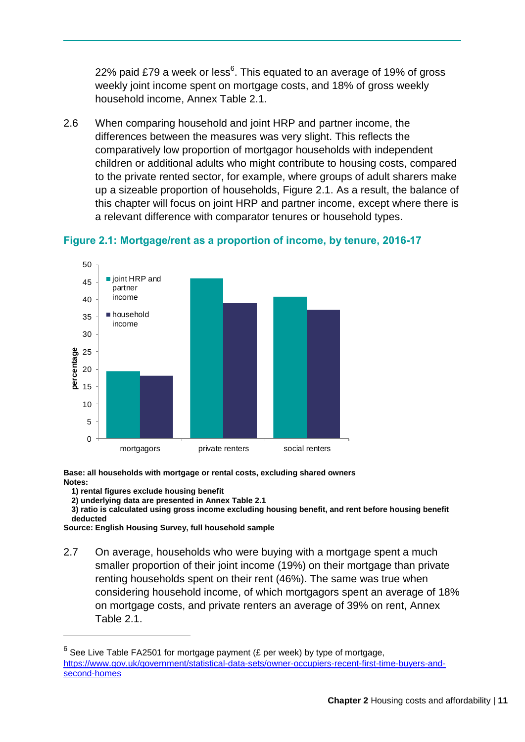22% paid £79 a week or less $6$ . This equated to an average of 19% of gross weekly joint income spent on mortgage costs, and 18% of gross weekly household income, Annex Table 2.1.

2.6 When comparing household and joint HRP and partner income, the differences between the measures was very slight. This reflects the comparatively low proportion of mortgagor households with independent children or additional adults who might contribute to housing costs, compared to the private rented sector, for example, where groups of adult sharers make up a sizeable proportion of households, Figure 2.1. As a result, the balance of this chapter will focus on joint HRP and partner income, except where there is a relevant difference with comparator tenures or household types.



#### **Figure 2.1: Mortgage/rent as a proportion of income, by tenure, 2016-17**

**Base: all households with mortgage or rental costs, excluding shared owners Notes:** 

**1) rental figures exclude housing benefit**

1

**2) underlying data are presented in Annex Table 2.1**

**3) ratio is calculated using gross income excluding housing benefit, and rent before housing benefit deducted**

**Source: English Housing Survey, full household sample**

2.7 On average, households who were buying with a mortgage spent a much smaller proportion of their joint income (19%) on their mortgage than private renting households spent on their rent (46%). The same was true when considering household income, of which mortgagors spent an average of 18% on mortgage costs, and private renters an average of 39% on rent, Annex Table 2.1.

 $^6$  See Live Table FA2501 for mortgage payment (£ per week) by type of mortgage, [https://www.gov.uk/government/statistical-data-sets/owner-occupiers-recent-first-time-buyers-and](https://www.gov.uk/government/statistical-data-sets/owner-occupiers-recent-first-time-buyers-and-second-homes)[second-homes](https://www.gov.uk/government/statistical-data-sets/owner-occupiers-recent-first-time-buyers-and-second-homes)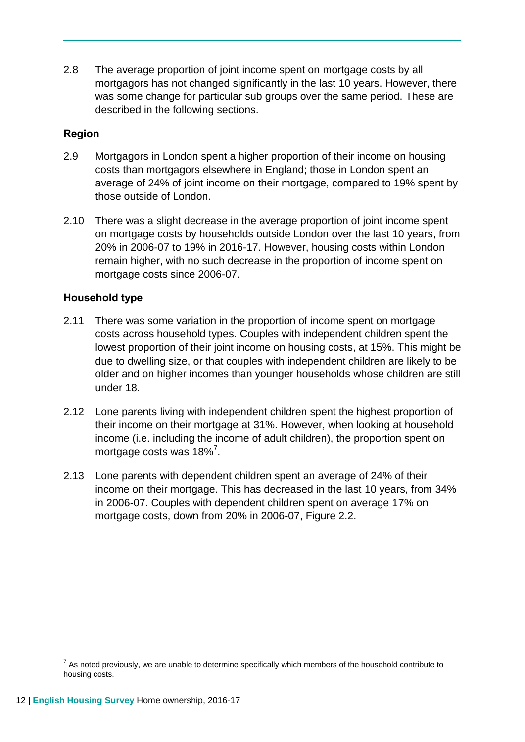2.8 The average proportion of joint income spent on mortgage costs by all mortgagors has not changed significantly in the last 10 years. However, there was some change for particular sub groups over the same period. These are described in the following sections.

#### **Region**

- 2.9 Mortgagors in London spent a higher proportion of their income on housing costs than mortgagors elsewhere in England; those in London spent an average of 24% of joint income on their mortgage, compared to 19% spent by those outside of London.
- 2.10 There was a slight decrease in the average proportion of joint income spent on mortgage costs by households outside London over the last 10 years, from 20% in 2006-07 to 19% in 2016-17. However, housing costs within London remain higher, with no such decrease in the proportion of income spent on mortgage costs since 2006-07.

#### **Household type**

- 2.11 There was some variation in the proportion of income spent on mortgage costs across household types. Couples with independent children spent the lowest proportion of their joint income on housing costs, at 15%. This might be due to dwelling size, or that couples with independent children are likely to be older and on higher incomes than younger households whose children are still under 18.
- 2.12 Lone parents living with independent children spent the highest proportion of their income on their mortgage at 31%. However, when looking at household income (i.e. including the income of adult children), the proportion spent on mortgage costs was  $18\%$ <sup>7</sup>.
- 2.13 Lone parents with dependent children spent an average of 24% of their income on their mortgage. This has decreased in the last 10 years, from 34% in 2006-07. Couples with dependent children spent on average 17% on mortgage costs, down from 20% in 2006-07. Figure 2.2.

 $<sup>7</sup>$  As noted previously, we are unable to determine specifically which members of the household contribute to</sup> housing costs.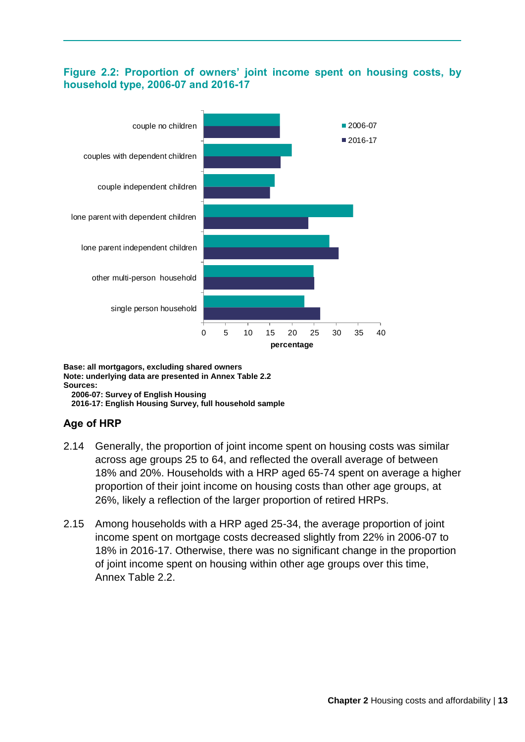#### **Figure 2.2: Proportion of owners' joint income spent on housing costs, by household type, 2006-07 and 2016-17**



#### **Base: all mortgagors, excluding shared owners Note: underlying data are presented in Annex Table 2.2 Sources:**

**2006-07: Survey of English Housing 2016-17: English Housing Survey, full household sample**

#### **Age of HRP**

- 2.14 Generally, the proportion of joint income spent on housing costs was similar across age groups 25 to 64, and reflected the overall average of between 18% and 20%. Households with a HRP aged 65-74 spent on average a higher proportion of their joint income on housing costs than other age groups, at 26%, likely a reflection of the larger proportion of retired HRPs.
- 2.15 Among households with a HRP aged 25-34, the average proportion of joint income spent on mortgage costs decreased slightly from 22% in 2006-07 to 18% in 2016-17. Otherwise, there was no significant change in the proportion of joint income spent on housing within other age groups over this time, Annex Table 2.2.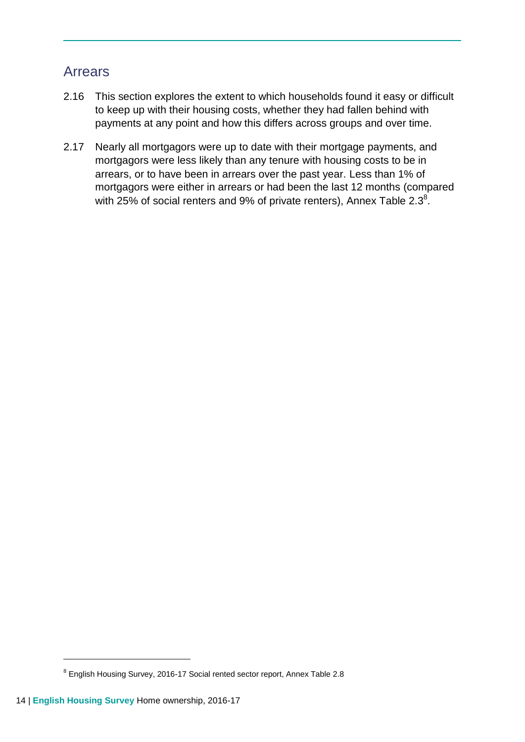## Arrears

- 2.16 This section explores the extent to which households found it easy or difficult to keep up with their housing costs, whether they had fallen behind with payments at any point and how this differs across groups and over time.
- 2.17 Nearly all mortgagors were up to date with their mortgage payments, and mortgagors were less likely than any tenure with housing costs to be in arrears, or to have been in arrears over the past year. Less than 1% of mortgagors were either in arrears or had been the last 12 months (compared with 25% of social renters and 9% of private renters), Annex Table 2.3 $^8$ .

<sup>&</sup>lt;sup>8</sup> English Housing Survey, 2016-17 Social rented sector report, Annex Table 2.8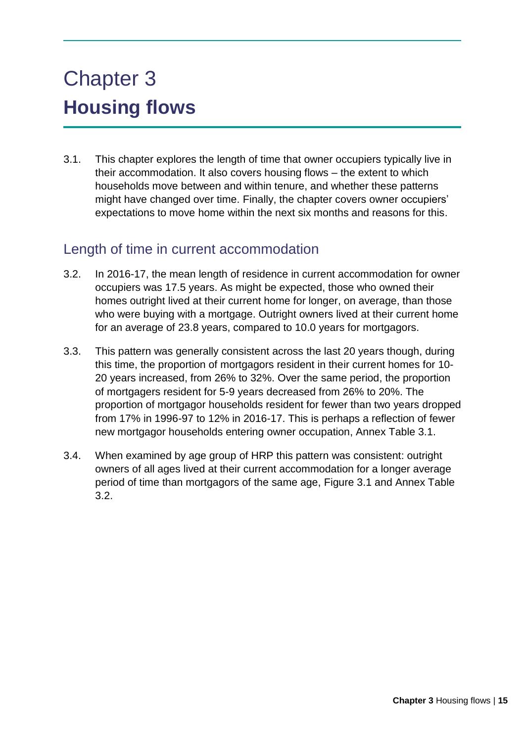# Chapter 3 **Housing flows**

3.1. This chapter explores the length of time that owner occupiers typically live in their accommodation. It also covers housing flows – the extent to which households move between and within tenure, and whether these patterns might have changed over time. Finally, the chapter covers owner occupiers' expectations to move home within the next six months and reasons for this.

### Length of time in current accommodation

- 3.2. In 2016-17, the mean length of residence in current accommodation for owner occupiers was 17.5 years. As might be expected, those who owned their homes outright lived at their current home for longer, on average, than those who were buying with a mortgage. Outright owners lived at their current home for an average of 23.8 years, compared to 10.0 years for mortgagors.
- 3.3. This pattern was generally consistent across the last 20 years though, during this time, the proportion of mortgagors resident in their current homes for 10- 20 years increased, from 26% to 32%. Over the same period, the proportion of mortgagers resident for 5-9 years decreased from 26% to 20%. The proportion of mortgagor households resident for fewer than two years dropped from 17% in 1996-97 to 12% in 2016-17. This is perhaps a reflection of fewer new mortgagor households entering owner occupation, Annex Table 3.1.
- 3.4. When examined by age group of HRP this pattern was consistent: outright owners of all ages lived at their current accommodation for a longer average period of time than mortgagors of the same age, Figure 3.1 and Annex Table 3.2.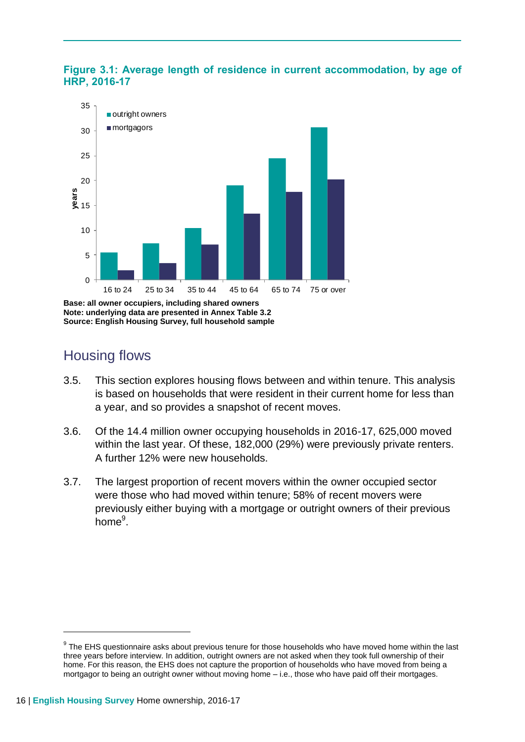



**Note: underlying data are presented in Annex Table 3.2 Source: English Housing Survey, full household sample**

## Housing flows

- 3.5. This section explores housing flows between and within tenure. This analysis is based on households that were resident in their current home for less than a year, and so provides a snapshot of recent moves.
- 3.6. Of the 14.4 million owner occupying households in 2016-17, 625,000 moved within the last year. Of these, 182,000 (29%) were previously private renters. A further 12% were new households.
- 3.7. The largest proportion of recent movers within the owner occupied sector were those who had moved within tenure; 58% of recent movers were previously either buying with a mortgage or outright owners of their previous home<sup>9</sup>.

<sup>&</sup>lt;sup>9</sup> The EHS questionnaire asks about previous tenure for those households who have moved home within the last three years before interview. In addition, outright owners are not asked when they took full ownership of their home. For this reason, the EHS does not capture the proportion of households who have moved from being a mortgagor to being an outright owner without moving home – i.e., those who have paid off their mortgages.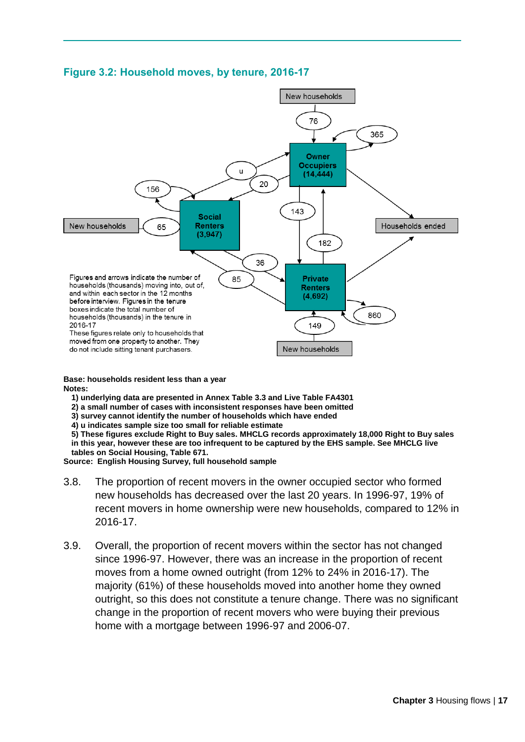

#### **Figure 3.2: Household moves, by tenure, 2016-17**

**Base: households resident less than a year Notes:**

- **1) underlying data are presented in Annex Table 3.3 and Live Table FA4301**
- **2) a small number of cases with inconsistent responses have been omitted**
- **3) survey cannot identify the number of households which have ended**
- **4) u indicates sample size too small for reliable estimate**

**5) These figures exclude Right to Buy sales. MHCLG records approximately 18,000 Right to Buy sales in this year, however these are too infrequent to be captured by the EHS sample. See MHCLG live** 

**tables on Social Housing, Table 671.**

**Source: English Housing Survey, full household sample**

- 3.8. The proportion of recent movers in the owner occupied sector who formed new households has decreased over the last 20 years. In 1996-97, 19% of recent movers in home ownership were new households, compared to 12% in 2016-17.
- 3.9. Overall, the proportion of recent movers within the sector has not changed since 1996-97. However, there was an increase in the proportion of recent moves from a home owned outright (from 12% to 24% in 2016-17). The majority (61%) of these households moved into another home they owned outright, so this does not constitute a tenure change. There was no significant change in the proportion of recent movers who were buying their previous home with a mortgage between 1996-97 and 2006-07.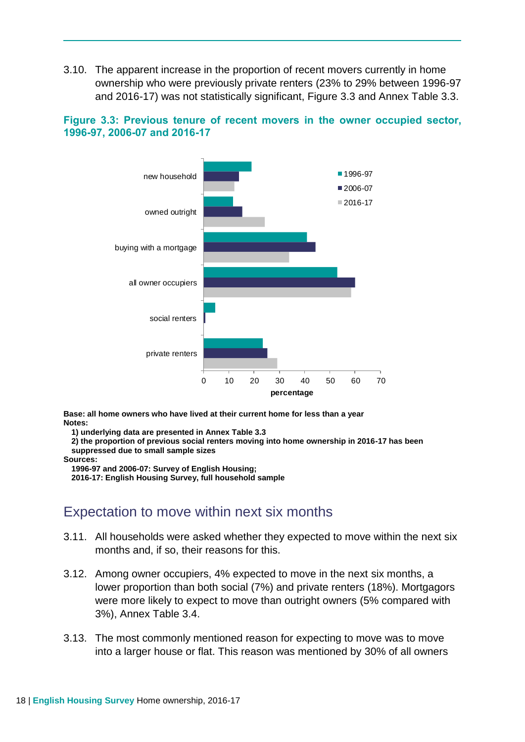3.10. The apparent increase in the proportion of recent movers currently in home ownership who were previously private renters (23% to 29% between 1996-97 and 2016-17) was not statistically significant, Figure 3.3 and Annex Table 3.3.





**Base: all home owners who have lived at their current home for less than a year Notes:** 

**1) underlying data are presented in Annex Table 3.3**

**2) the proportion of previous social renters moving into home ownership in 2016-17 has been suppressed due to small sample sizes**

**Sources:** 

**1996-97 and 2006-07: Survey of English Housing;**

**2016-17: English Housing Survey, full household sample**

#### Expectation to move within next six months

- 3.11. All households were asked whether they expected to move within the next six months and, if so, their reasons for this.
- 3.12. Among owner occupiers, 4% expected to move in the next six months, a lower proportion than both social (7%) and private renters (18%). Mortgagors were more likely to expect to move than outright owners (5% compared with 3%), Annex Table 3.4.
- 3.13. The most commonly mentioned reason for expecting to move was to move into a larger house or flat. This reason was mentioned by 30% of all owners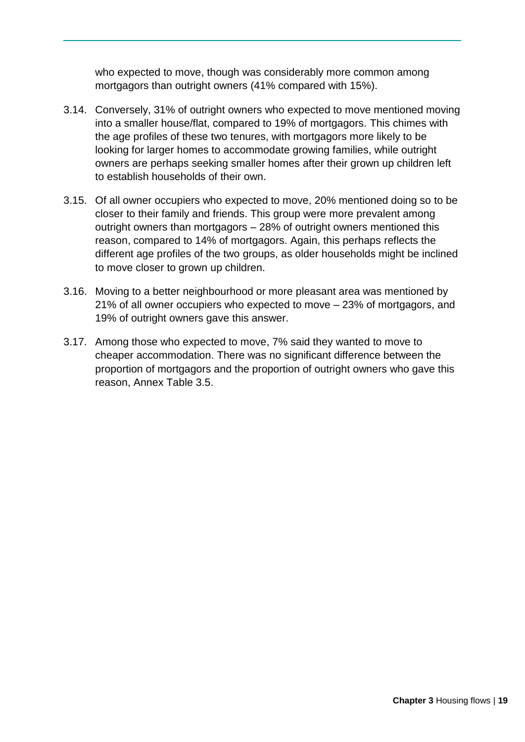who expected to move, though was considerably more common among mortgagors than outright owners (41% compared with 15%).

- 3.14. Conversely, 31% of outright owners who expected to move mentioned moving into a smaller house/flat, compared to 19% of mortgagors. This chimes with the age profiles of these two tenures, with mortgagors more likely to be looking for larger homes to accommodate growing families, while outright owners are perhaps seeking smaller homes after their grown up children left to establish households of their own.
- 3.15. Of all owner occupiers who expected to move, 20% mentioned doing so to be closer to their family and friends. This group were more prevalent among outright owners than mortgagors – 28% of outright owners mentioned this reason, compared to 14% of mortgagors. Again, this perhaps reflects the different age profiles of the two groups, as older households might be inclined to move closer to grown up children.
- 3.16. Moving to a better neighbourhood or more pleasant area was mentioned by 21% of all owner occupiers who expected to move – 23% of mortgagors, and 19% of outright owners gave this answer.
- 3.17. Among those who expected to move, 7% said they wanted to move to cheaper accommodation. There was no significant difference between the proportion of mortgagors and the proportion of outright owners who gave this reason, Annex Table 3.5.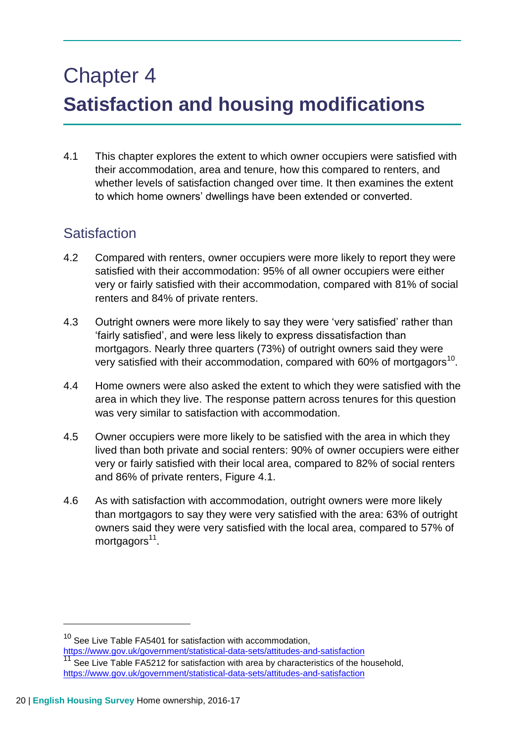# Chapter 4 **Satisfaction and housing modifications**

4.1 This chapter explores the extent to which owner occupiers were satisfied with their accommodation, area and tenure, how this compared to renters, and whether levels of satisfaction changed over time. It then examines the extent to which home owners' dwellings have been extended or converted.

## **Satisfaction**

- 4.2 Compared with renters, owner occupiers were more likely to report they were satisfied with their accommodation: 95% of all owner occupiers were either very or fairly satisfied with their accommodation, compared with 81% of social renters and 84% of private renters.
- 4.3 Outright owners were more likely to say they were 'very satisfied' rather than 'fairly satisfied', and were less likely to express dissatisfaction than mortgagors. Nearly three quarters (73%) of outright owners said they were very satisfied with their accommodation, compared with 60% of mortgagors<sup>10</sup>.
- 4.4 Home owners were also asked the extent to which they were satisfied with the area in which they live. The response pattern across tenures for this question was very similar to satisfaction with accommodation.
- 4.5 Owner occupiers were more likely to be satisfied with the area in which they lived than both private and social renters: 90% of owner occupiers were either very or fairly satisfied with their local area, compared to 82% of social renters and 86% of private renters, Figure 4.1.
- 4.6 As with satisfaction with accommodation, outright owners were more likely than mortgagors to say they were very satisfied with the area: 63% of outright owners said they were very satisfied with the local area, compared to 57% of mortgagors<sup>11</sup>.

 $10$  See Live Table FA5401 for satisfaction with accommodation.

<https://www.gov.uk/government/statistical-data-sets/attitudes-and-satisfaction>  $11$  See Live Table FA5212 for satisfaction with area by characteristics of the household, <https://www.gov.uk/government/statistical-data-sets/attitudes-and-satisfaction>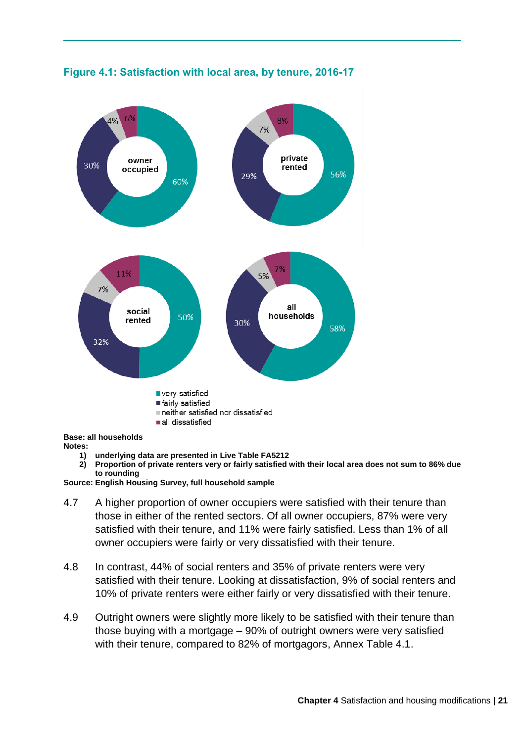

#### **Figure 4.1: Satisfaction with local area, by tenure, 2016-17**

**Base: all households Notes:** 

- **1) underlying data are presented in Live Table FA5212**
- **2) Proportion of private renters very or fairly satisfied with their local area does not sum to 86% due to rounding**

**Source: English Housing Survey, full household sample** 

- 4.7 A higher proportion of owner occupiers were satisfied with their tenure than those in either of the rented sectors. Of all owner occupiers, 87% were very satisfied with their tenure, and 11% were fairly satisfied. Less than 1% of all owner occupiers were fairly or very dissatisfied with their tenure.
- 4.8 In contrast, 44% of social renters and 35% of private renters were very satisfied with their tenure. Looking at dissatisfaction, 9% of social renters and 10% of private renters were either fairly or very dissatisfied with their tenure.
- 4.9 Outright owners were slightly more likely to be satisfied with their tenure than those buying with a mortgage – 90% of outright owners were very satisfied with their tenure, compared to 82% of mortgagors, Annex Table 4.1.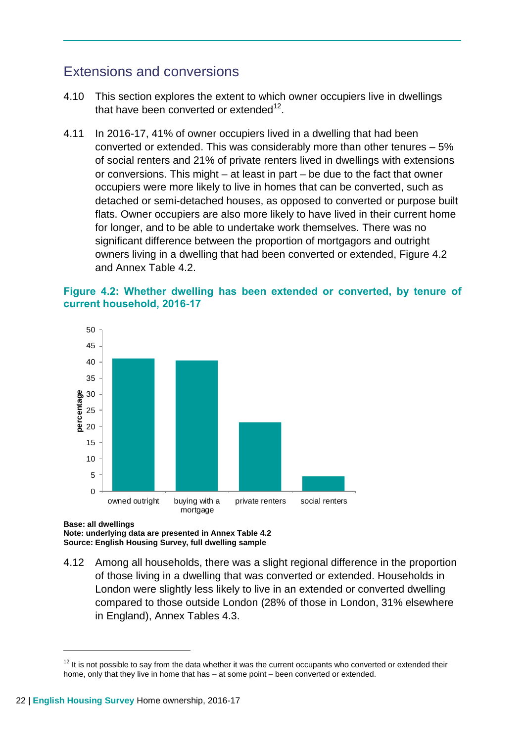## Extensions and conversions

- 4.10 This section explores the extent to which owner occupiers live in dwellings that have been converted or extended $^{12}$ .
- 4.11 In 2016-17, 41% of owner occupiers lived in a dwelling that had been converted or extended. This was considerably more than other tenures – 5% of social renters and 21% of private renters lived in dwellings with extensions or conversions. This might – at least in part – be due to the fact that owner occupiers were more likely to live in homes that can be converted, such as detached or semi-detached houses, as opposed to converted or purpose built flats. Owner occupiers are also more likely to have lived in their current home for longer, and to be able to undertake work themselves. There was no significant difference between the proportion of mortgagors and outright owners living in a dwelling that had been converted or extended, Figure 4.2 and Annex Table 4.2.

#### **Figure 4.2: Whether dwelling has been extended or converted, by tenure of current household, 2016-17**



**Base: all dwellings Note: underlying data are presented in Annex Table 4.2 Source: English Housing Survey, full dwelling sample**

4.12 Among all households, there was a slight regional difference in the proportion of those living in a dwelling that was converted or extended. Households in London were slightly less likely to live in an extended or converted dwelling compared to those outside London (28% of those in London, 31% elsewhere in England), Annex Tables 4.3.

 $12$  It is not possible to say from the data whether it was the current occupants who converted or extended their home, only that they live in home that has – at some point – been converted or extended.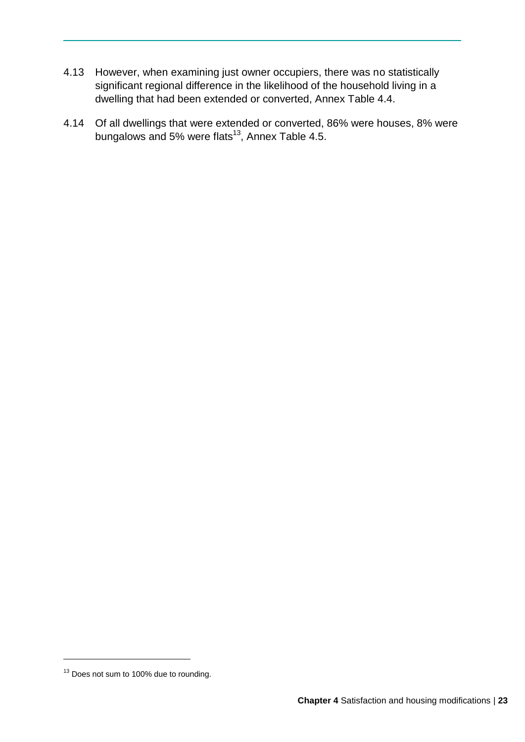- 4.13 However, when examining just owner occupiers, there was no statistically significant regional difference in the likelihood of the household living in a dwelling that had been extended or converted, Annex Table 4.4.
- 4.14 Of all dwellings that were extended or converted, 86% were houses, 8% were bungalows and 5% were flats<sup>13</sup>, Annex Table 4.5.

<sup>&</sup>lt;sup>13</sup> Does not sum to 100% due to rounding.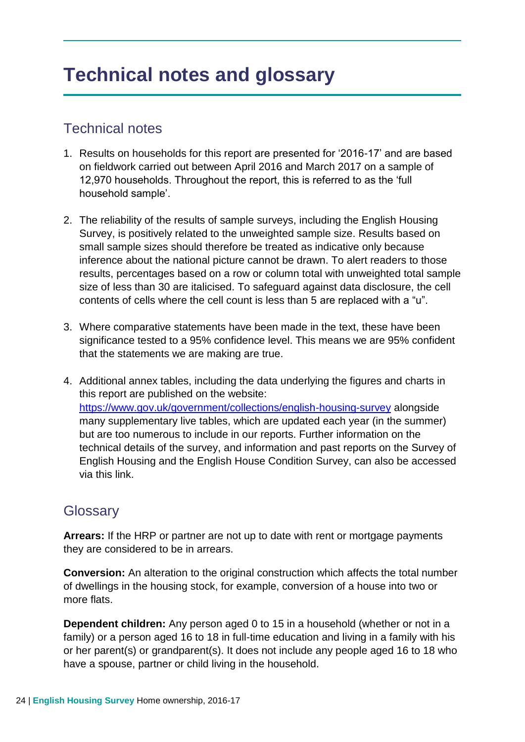## **Technical notes and glossary**

## Technical notes

- 1. Results on households for this report are presented for '2016-17' and are based on fieldwork carried out between April 2016 and March 2017 on a sample of 12,970 households. Throughout the report, this is referred to as the 'full household sample'.
- 2. The reliability of the results of sample surveys, including the English Housing Survey, is positively related to the unweighted sample size. Results based on small sample sizes should therefore be treated as indicative only because inference about the national picture cannot be drawn. To alert readers to those results, percentages based on a row or column total with unweighted total sample size of less than 30 are italicised. To safeguard against data disclosure, the cell contents of cells where the cell count is less than 5 are replaced with a "u".
- 3. Where comparative statements have been made in the text, these have been significance tested to a 95% confidence level. This means we are 95% confident that the statements we are making are true.
- 4. Additional annex tables, including the data underlying the figures and charts in this report are published on the website: <https://www.gov.uk/government/collections/english-housing-survey> alongside many supplementary live tables, which are updated each year (in the summer) but are too numerous to include in our reports. Further information on the technical details of the survey, and information and past reports on the Survey of English Housing and the English House Condition Survey, can also be accessed via this link.

### **Glossary**

**Arrears:** If the HRP or partner are not up to date with rent or mortgage payments they are considered to be in arrears.

**Conversion:** An alteration to the original construction which affects the total number of dwellings in the housing stock, for example, conversion of a house into two or more flats.

**Dependent children:** Any person aged 0 to 15 in a household (whether or not in a family) or a person aged 16 to 18 in full-time education and living in a family with his or her parent(s) or grandparent(s). It does not include any people aged 16 to 18 who have a spouse, partner or child living in the household.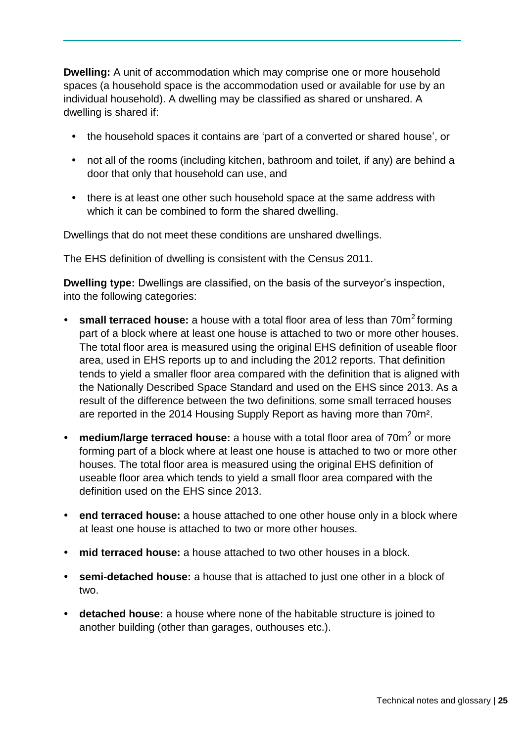**Dwelling:** A unit of accommodation which may comprise one or more household spaces (a household space is the accommodation used or available for use by an individual household). A dwelling may be classified as shared or unshared. A dwelling is shared if:

- the household spaces it contains are 'part of a converted or shared house', or
- not all of the rooms (including kitchen, bathroom and toilet, if any) are behind a door that only that household can use, and
- there is at least one other such household space at the same address with which it can be combined to form the shared dwelling.

Dwellings that do not meet these conditions are unshared dwellings.

The EHS definition of dwelling is consistent with the Census 2011.

**Dwelling type:** Dwellings are classified, on the basis of the surveyor's inspection, into the following categories:

- small terraced house: a house with a total floor area of less than 70m<sup>2</sup> forming part of a block where at least one house is attached to two or more other houses. The total floor area is measured using the original EHS definition of useable floor area, used in EHS reports up to and including the 2012 reports. That definition tends to yield a smaller floor area compared with the definition that is aligned with the Nationally Described Space Standard and used on the EHS since 2013. As a result of the difference between the two definitions, some small terraced houses are reported in the 2014 Housing Supply Report as having more than 70m².
- medium/large terraced house: a house with a total floor area of 70m<sup>2</sup> or more forming part of a block where at least one house is attached to two or more other houses. The total floor area is measured using the original EHS definition of useable floor area which tends to yield a small floor area compared with the definition used on the EHS since 2013.
- **end terraced house:** a house attached to one other house only in a block where at least one house is attached to two or more other houses.
- **mid terraced house:** a house attached to two other houses in a block.
- **semi-detached house:** a house that is attached to just one other in a block of two.
- **detached house:** a house where none of the habitable structure is joined to another building (other than garages, outhouses etc.).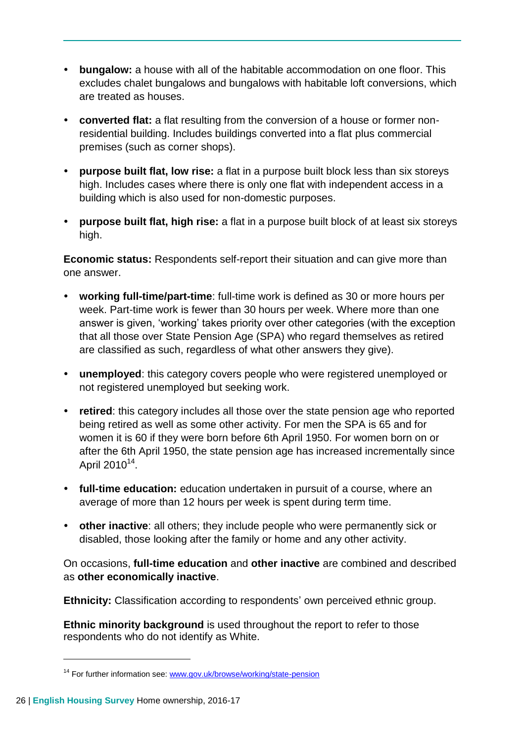- **bungalow:** a house with all of the habitable accommodation on one floor. This excludes chalet bungalows and bungalows with habitable loft conversions, which are treated as houses.
- **converted flat:** a flat resulting from the conversion of a house or former nonresidential building. Includes buildings converted into a flat plus commercial premises (such as corner shops).
- **purpose built flat, low rise:** a flat in a purpose built block less than six storeys high. Includes cases where there is only one flat with independent access in a building which is also used for non-domestic purposes.
- **purpose built flat, high rise:** a flat in a purpose built block of at least six storeys high.

**Economic status:** Respondents self-report their situation and can give more than one answer.

- **working full-time/part-time**: full-time work is defined as 30 or more hours per week. Part-time work is fewer than 30 hours per week. Where more than one answer is given, 'working' takes priority over other categories (with the exception that all those over State Pension Age (SPA) who regard themselves as retired are classified as such, regardless of what other answers they give).
- **unemployed**: this category covers people who were registered unemployed or not registered unemployed but seeking work.
- **retired**: this category includes all those over the state pension age who reported being retired as well as some other activity. For men the SPA is 65 and for women it is 60 if they were born before 6th April 1950. For women born on or after the 6th April 1950, the state pension age has increased incrementally since April 2010<sup>14</sup>.
- **full-time education:** education undertaken in pursuit of a course, where an average of more than 12 hours per week is spent during term time.
- **other inactive**: all others; they include people who were permanently sick or disabled, those looking after the family or home and any other activity.

On occasions, **full-time education** and **other inactive** are combined and described as **other economically inactive**.

**Ethnicity:** Classification according to respondents' own perceived ethnic group.

**Ethnic minority background** is used throughout the report to refer to those respondents who do not identify as White.

<sup>&</sup>lt;sup>14</sup> For further information see: [www.gov.uk/browse/working/state-pension](http://www.gov.uk/browse/working/state-pension)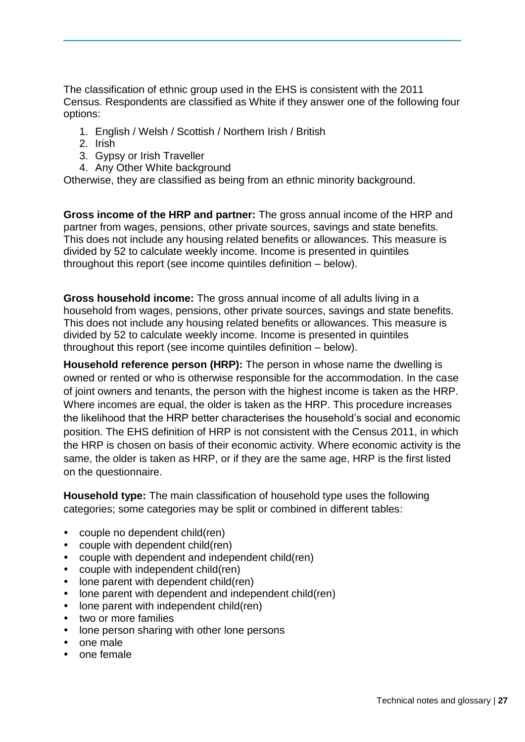The classification of ethnic group used in the EHS is consistent with the 2011 Census. Respondents are classified as White if they answer one of the following four options:

- 1. English / Welsh / Scottish / Northern Irish / British
- 2. Irish
- 3. Gypsy or Irish Traveller
- 4. Any Other White background

Otherwise, they are classified as being from an ethnic minority background.

**Gross income of the HRP and partner:** The gross annual income of the HRP and partner from wages, pensions, other private sources, savings and state benefits. This does not include any housing related benefits or allowances. This measure is divided by 52 to calculate weekly income. Income is presented in quintiles throughout this report (see income quintiles definition – below).

**Gross household income:** The gross annual income of all adults living in a household from wages, pensions, other private sources, savings and state benefits. This does not include any housing related benefits or allowances. This measure is divided by 52 to calculate weekly income. Income is presented in quintiles throughout this report (see income quintiles definition – below).

**Household reference person (HRP):** The person in whose name the dwelling is owned or rented or who is otherwise responsible for the accommodation. In the case of joint owners and tenants, the person with the highest income is taken as the HRP. Where incomes are equal, the older is taken as the HRP. This procedure increases the likelihood that the HRP better characterises the household's social and economic position. The EHS definition of HRP is not consistent with the Census 2011, in which the HRP is chosen on basis of their economic activity. Where economic activity is the same, the older is taken as HRP, or if they are the same age, HRP is the first listed on the questionnaire.

**Household type:** The main classification of household type uses the following categories; some categories may be split or combined in different tables:

- couple no dependent child(ren)
- couple with dependent child(ren)
- couple with dependent and independent child(ren)
- couple with independent child(ren)
- lone parent with dependent child(ren)
- lone parent with dependent and independent child(ren)
- lone parent with independent child(ren)
- two or more families
- lone person sharing with other lone persons
- one male
- one female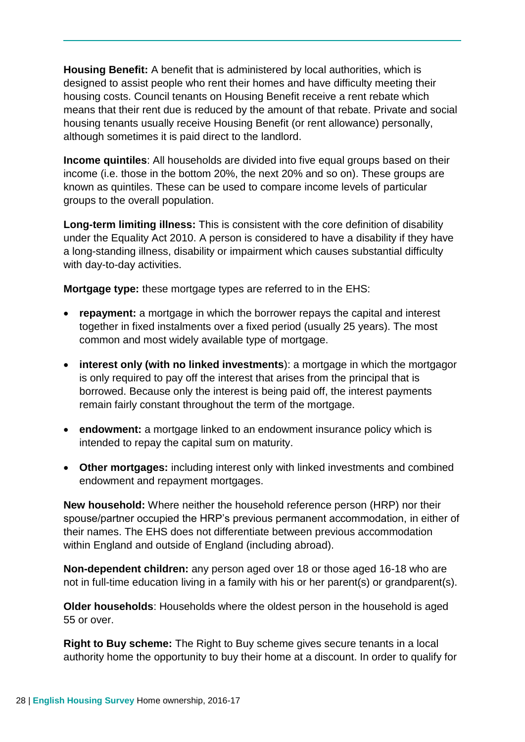**Housing Benefit:** A benefit that is administered by local authorities, which is designed to assist people who rent their homes and have difficulty meeting their housing costs. Council tenants on Housing Benefit receive a rent rebate which means that their rent due is reduced by the amount of that rebate. Private and social housing tenants usually receive Housing Benefit (or rent allowance) personally, although sometimes it is paid direct to the landlord.

**Income quintiles**: All households are divided into five equal groups based on their income (i.e. those in the bottom 20%, the next 20% and so on). These groups are known as quintiles. These can be used to compare income levels of particular groups to the overall population.

**Long-term limiting illness:** This is consistent with the core definition of disability under the Equality Act 2010. A person is considered to have a disability if they have a long-standing illness, disability or impairment which causes substantial difficulty with day-to-day activities.

**Mortgage type:** these mortgage types are referred to in the EHS:

- **repayment:** a mortgage in which the borrower repays the capital and interest together in fixed instalments over a fixed period (usually 25 years). The most common and most widely available type of mortgage.
- **interest only (with no linked investments**): a mortgage in which the mortgagor is only required to pay off the interest that arises from the principal that is borrowed. Because only the interest is being paid off, the interest payments remain fairly constant throughout the term of the mortgage.
- **endowment:** a mortgage linked to an endowment insurance policy which is intended to repay the capital sum on maturity.
- **Other mortgages:** including interest only with linked investments and combined endowment and repayment mortgages.

**New household:** Where neither the household reference person (HRP) nor their spouse/partner occupied the HRP's previous permanent accommodation, in either of their names. The EHS does not differentiate between previous accommodation within England and outside of England (including abroad).

**Non-dependent children:** any person aged over 18 or those aged 16-18 who are not in full-time education living in a family with his or her parent(s) or grandparent(s).

**Older households**: Households where the oldest person in the household is aged 55 or over.

**Right to Buy scheme:** The Right to Buy scheme gives secure tenants in a local authority home the opportunity to buy their home at a discount. In order to qualify for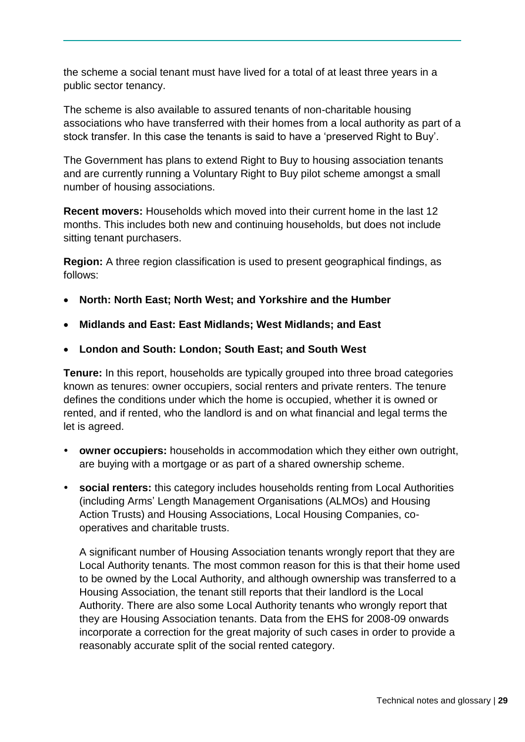the scheme a social tenant must have lived for a total of at least three years in a public sector tenancy.

The scheme is also available to assured tenants of non-charitable housing associations who have transferred with their homes from a local authority as part of a stock transfer. In this case the tenants is said to have a 'preserved Right to Buy'.

The Government has plans to extend Right to Buy to housing association tenants and are currently running a Voluntary Right to Buy pilot scheme amongst a small number of housing associations.

**Recent movers:** Households which moved into their current home in the last 12 months. This includes both new and continuing households, but does not include sitting tenant purchasers.

**Region:** A three region classification is used to present geographical findings, as follows:

- **North: North East; North West; and Yorkshire and the Humber**
- **Midlands and East: East Midlands; West Midlands; and East**
- **London and South: London; South East; and South West**

**Tenure:** In this report, households are typically grouped into three broad categories known as tenures: owner occupiers, social renters and private renters. The tenure defines the conditions under which the home is occupied, whether it is owned or rented, and if rented, who the landlord is and on what financial and legal terms the let is agreed.

- **owner occupiers:** households in accommodation which they either own outright, are buying with a mortgage or as part of a shared ownership scheme.
- **social renters:** this category includes households renting from Local Authorities (including Arms' Length Management Organisations (ALMOs) and Housing Action Trusts) and Housing Associations, Local Housing Companies, cooperatives and charitable trusts.

A significant number of Housing Association tenants wrongly report that they are Local Authority tenants. The most common reason for this is that their home used to be owned by the Local Authority, and although ownership was transferred to a Housing Association, the tenant still reports that their landlord is the Local Authority. There are also some Local Authority tenants who wrongly report that they are Housing Association tenants. Data from the EHS for 2008-09 onwards incorporate a correction for the great majority of such cases in order to provide a reasonably accurate split of the social rented category.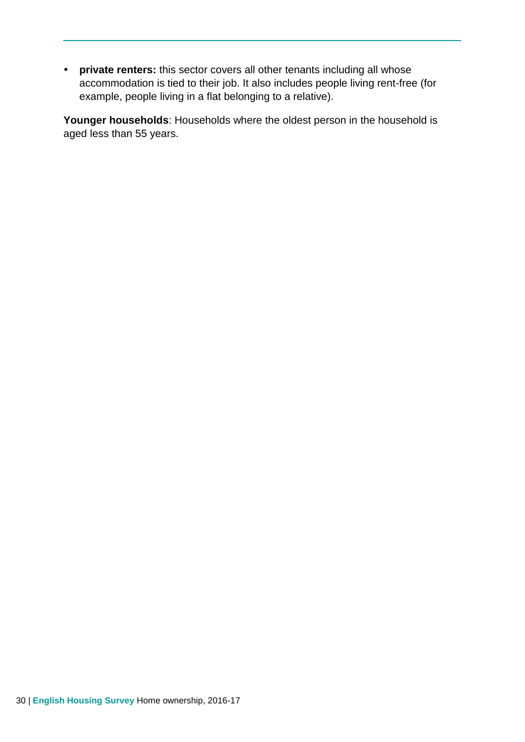**private renters:** this sector covers all other tenants including all whose accommodation is tied to their job. It also includes people living rent-free (for example, people living in a flat belonging to a relative).

**Younger households**: Households where the oldest person in the household is aged less than 55 years.